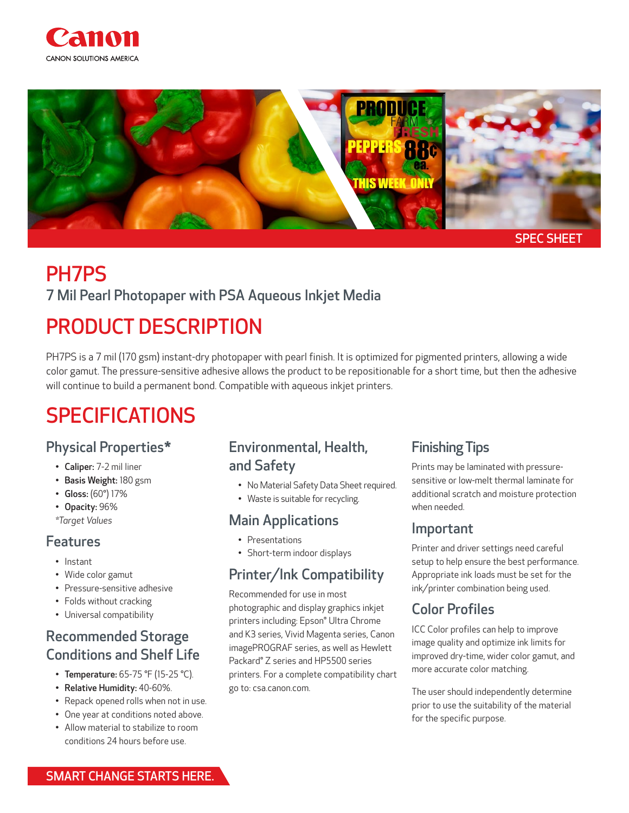



# PH7PS

#### 7 Mil Pearl Photopaper with PSA Aqueous Inkjet Media

# PRODUCT DESCRIPTION

PH7PS is a 7 mil (170 gsm) instant-dry photopaper with pearl finish. It is optimized for pigmented printers, allowing a wide color gamut. The pressure-sensitive adhesive allows the product to be repositionable for a short time, but then the adhesive will continue to build a permanent bond. Compatible with aqueous inkjet printers.

# SPECIFICATIONS

#### Physical Properties\*

- Caliper: 7-2 mil liner
- Basis Weight: 180 gsm
- Gloss: (60°) 17%
- Opacity: 96%
- *\*Target Values*

#### Features

- Instant
- Wide color gamut
- Pressure-sensitive adhesive
- Folds without cracking
- Universal compatibility

## Recommended Storage Conditions and Shelf Life

- Temperature: 65-75 °F (15-25 °C).
- Relative Humidity: 40-60%.
- Repack opened rolls when not in use.
- One year at conditions noted above.
- Allow material to stabilize to room conditions 24 hours before use.

### Environmental, Health, and Safety

- No Material Safety Data Sheet required.
- Waste is suitable for recycling.

#### Main Applications

- Presentations
- Short-term indoor displays

### Printer/Ink Compatibility

Recommended for use in most photographic and display graphics inkjet printers including: Epson® Ultra Chrome and K3 series, Vivid Magenta series, Canon imagePROGRAF series, as well as Hewlett Packard® Z series and HP5500 series printers. For a complete compatibility chart go to: csa.canon.com.

### Finishing Tips

Prints may be laminated with pressuresensitive or low-melt thermal laminate for additional scratch and moisture protection when needed.

#### Important

Printer and driver settings need careful setup to help ensure the best performance. Appropriate ink loads must be set for the ink/printer combination being used.

## Color Profiles

ICC Color profiles can help to improve image quality and optimize ink limits for improved dry-time, wider color gamut, and more accurate color matching.

The user should independently determine prior to use the suitability of the material for the specific purpose.